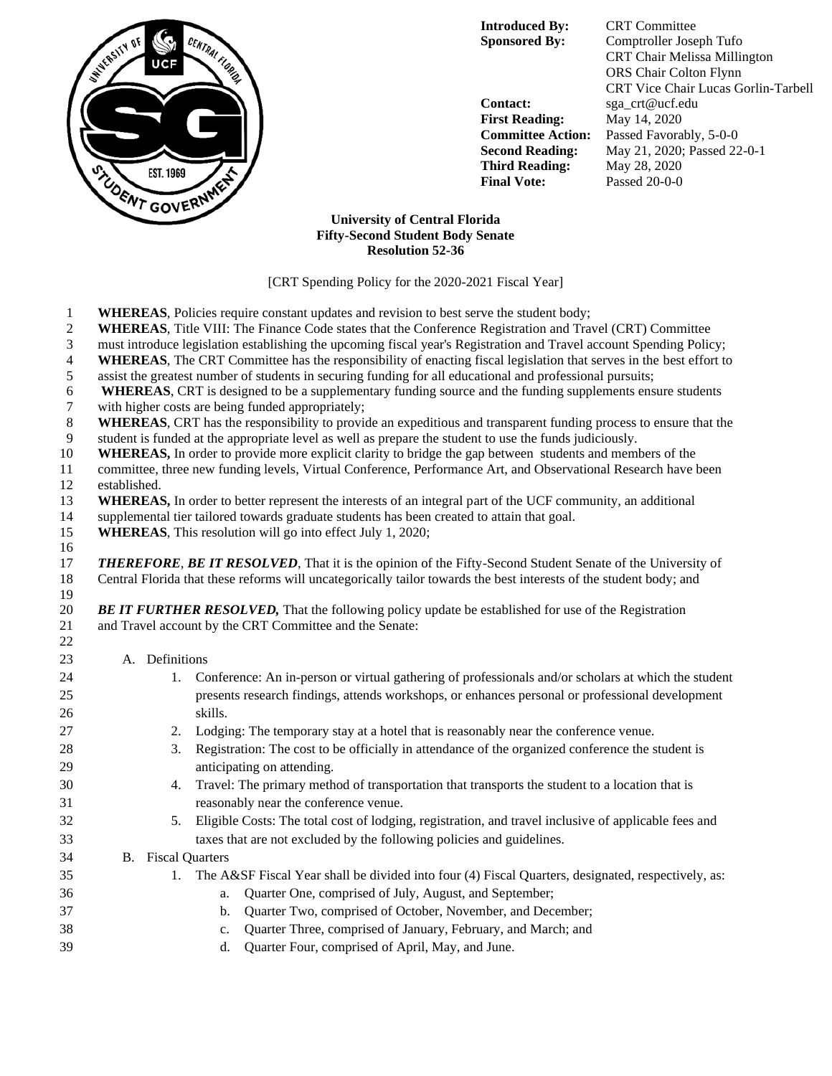

**Introduced By:** CRT Committee

**Contact:** sga\_crt@ucf.edu **First Reading:** May 14, 2020 **Third Reading:** May 28, 2020 **Final Vote:** Passed 20-0-0

**Sponsored By:** Comptroller Joseph Tufo CRT Chair Melissa Millington ORS Chair Colton Flynn CRT Vice Chair Lucas Gorlin-Tarbell **Committee Action:** Passed Favorably, 5-0-0 **Second Reading:** May 21, 2020; Passed 22-0-1

## **University of Central Florida Fifty-Second Student Body Senate Resolution 52-36**

[CRT Spending Policy for the 2020-2021 Fiscal Year]

- **WHEREAS**, Policies require constant updates and revision to best serve the student body;
- **WHEREAS**, Title VIII: The Finance Code states that the Conference Registration and Travel (CRT) Committee
- must introduce legislation establishing the upcoming fiscal year's Registration and Travel account Spending Policy;
- **WHEREAS**, The CRT Committee has the responsibility of enacting fiscal legislation that serves in the best effort to
- assist the greatest number of students in securing funding for all educational and professional pursuits;
- **WHEREAS**, CRT is designed to be a supplementary funding source and the funding supplements ensure students
- with higher costs are being funded appropriately;
- **WHEREAS**, CRT has the responsibility to provide an expeditious and transparent funding process to ensure that the
- student is funded at the appropriate level as well as prepare the student to use the funds judiciously.
- **WHEREAS,** In order to provide more explicit clarity to bridge the gap between students and members of the
- committee, three new funding levels, Virtual Conference, Performance Art, and Observational Research have been established.
- **WHEREAS,** In order to better represent the interests of an integral part of the UCF community, an additional
- supplemental tier tailored towards graduate students has been created to attain that goal.
- **WHEREAS**, This resolution will go into effect July 1, 2020;
- *THEREFORE*, *BE IT RESOLVED*, That it is the opinion of the Fifty-Second Student Senate of the University of Central Florida that these reforms will uncategorically tailor towards the best interests of the student body; and

 *BE IT FURTHER RESOLVED,* That the following policy update be established for use of the Registration and Travel account by the CRT Committee and the Senate:

## A. Definitions

| 24 | 1.                        | Conference: An in-person or virtual gathering of professionals and/or scholars at which the student  |
|----|---------------------------|------------------------------------------------------------------------------------------------------|
| 25 |                           | presents research findings, attends workshops, or enhances personal or professional development      |
| 26 |                           | skills.                                                                                              |
| 27 | 2.                        | Lodging: The temporary stay at a hotel that is reasonably near the conference venue.                 |
| 28 | 3.                        | Registration: The cost to be officially in attendance of the organized conference the student is     |
| 29 |                           | anticipating on attending.                                                                           |
| 30 | 4.                        | Travel: The primary method of transportation that transports the student to a location that is       |
| 31 |                           | reasonably near the conference venue.                                                                |
| 32 | 5.                        | Eligible Costs: The total cost of lodging, registration, and travel inclusive of applicable fees and |
| 33 |                           | taxes that are not excluded by the following policies and guidelines.                                |
| 34 | <b>B.</b> Fiscal Quarters |                                                                                                      |
| 35 |                           | The A&SF Fiscal Year shall be divided into four (4) Fiscal Quarters, designated, respectively, as:   |
| 36 |                           | Quarter One, comprised of July, August, and September;<br>a.                                         |
| 37 |                           | Quarter Two, comprised of October, November, and December;<br>b.                                     |
| 38 |                           | Quarter Three, comprised of January, February, and March; and<br>c.                                  |
| 39 |                           | Quarter Four, comprised of April, May, and June.<br>d.                                               |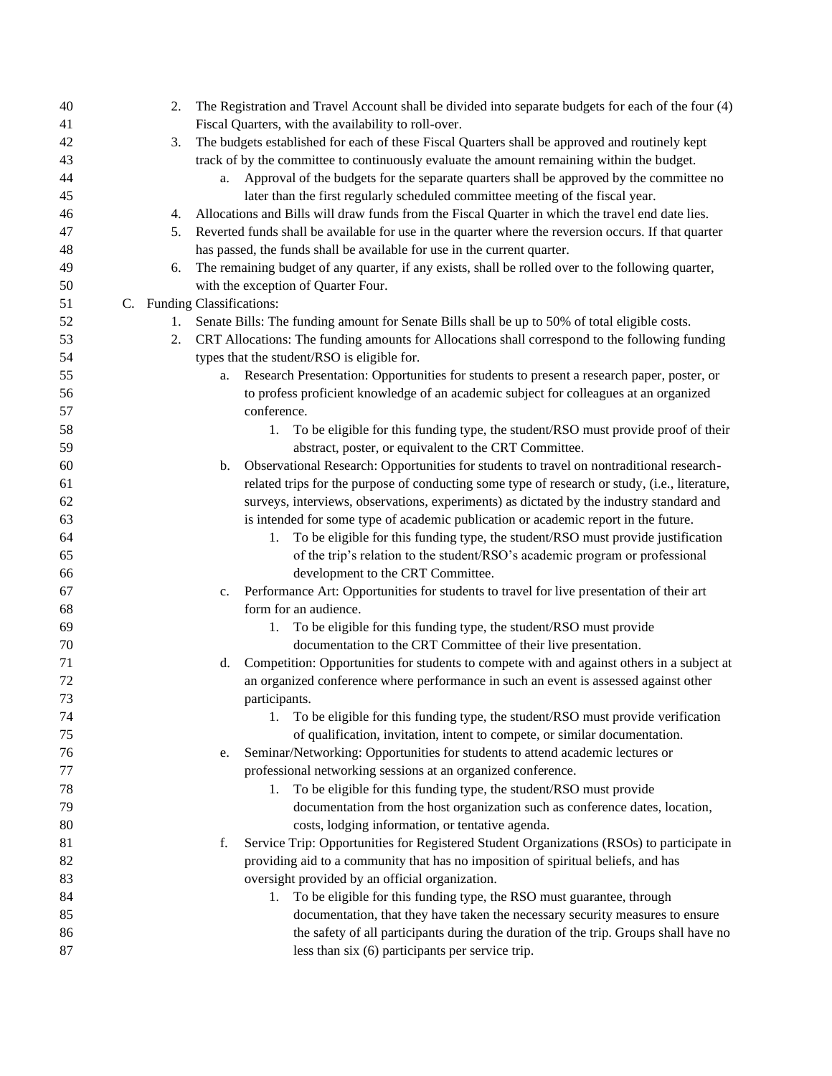| 40 | 2. |                             | The Registration and Travel Account shall be divided into separate budgets for each of the four (4)  |
|----|----|-----------------------------|------------------------------------------------------------------------------------------------------|
| 41 |    |                             | Fiscal Quarters, with the availability to roll-over.                                                 |
| 42 | 3. |                             | The budgets established for each of these Fiscal Quarters shall be approved and routinely kept       |
| 43 |    |                             | track of by the committee to continuously evaluate the amount remaining within the budget.           |
| 44 |    | a.                          | Approval of the budgets for the separate quarters shall be approved by the committee no              |
| 45 |    |                             | later than the first regularly scheduled committee meeting of the fiscal year.                       |
| 46 | 4. |                             | Allocations and Bills will draw funds from the Fiscal Quarter in which the travel end date lies.     |
| 47 | 5. |                             | Reverted funds shall be available for use in the quarter where the reversion occurs. If that quarter |
| 48 |    |                             | has passed, the funds shall be available for use in the current quarter.                             |
| 49 | 6. |                             | The remaining budget of any quarter, if any exists, shall be rolled over to the following quarter,   |
| 50 |    |                             | with the exception of Quarter Four.                                                                  |
| 51 |    | C. Funding Classifications: |                                                                                                      |
| 52 |    |                             | 1. Senate Bills: The funding amount for Senate Bills shall be up to 50% of total eligible costs.     |
| 53 |    |                             | 2. CRT Allocations: The funding amounts for Allocations shall correspond to the following funding    |
| 54 |    |                             | types that the student/RSO is eligible for.                                                          |
| 55 |    | a.                          | Research Presentation: Opportunities for students to present a research paper, poster, or            |
| 56 |    |                             | to profess proficient knowledge of an academic subject for colleagues at an organized                |
| 57 |    |                             | conference.                                                                                          |
| 58 |    |                             | To be eligible for this funding type, the student/RSO must provide proof of their<br>1.              |
| 59 |    |                             | abstract, poster, or equivalent to the CRT Committee.                                                |
| 60 |    | b.                          | Observational Research: Opportunities for students to travel on nontraditional research-             |
| 61 |    |                             | related trips for the purpose of conducting some type of research or study, (i.e., literature,       |
| 62 |    |                             | surveys, interviews, observations, experiments) as dictated by the industry standard and             |
| 63 |    |                             | is intended for some type of academic publication or academic report in the future.                  |
| 64 |    |                             | To be eligible for this funding type, the student/RSO must provide justification<br>1.               |
| 65 |    |                             | of the trip's relation to the student/RSO's academic program or professional                         |
| 66 |    |                             | development to the CRT Committee.                                                                    |
| 67 |    |                             | Performance Art: Opportunities for students to travel for live presentation of their art             |
|    |    | c.                          | form for an audience.                                                                                |
| 68 |    |                             | To be eligible for this funding type, the student/RSO must provide                                   |
| 69 |    |                             | 1.<br>documentation to the CRT Committee of their live presentation.                                 |
| 70 |    |                             |                                                                                                      |
| 71 |    | d.                          | Competition: Opportunities for students to compete with and against others in a subject at           |
| 72 |    |                             | an organized conference where performance in such an event is assessed against other                 |
| 73 |    |                             | participants.                                                                                        |
| 74 |    |                             | To be eligible for this funding type, the student/RSO must provide verification<br>1.                |
| 75 |    |                             | of qualification, invitation, intent to compete, or similar documentation.                           |
| 76 |    | e.                          | Seminar/Networking: Opportunities for students to attend academic lectures or                        |
| 77 |    |                             | professional networking sessions at an organized conference.                                         |
| 78 |    |                             | To be eligible for this funding type, the student/RSO must provide<br>1.                             |
| 79 |    |                             | documentation from the host organization such as conference dates, location,                         |
| 80 |    |                             | costs, lodging information, or tentative agenda.                                                     |
| 81 |    | f.                          | Service Trip: Opportunities for Registered Student Organizations (RSOs) to participate in            |
| 82 |    |                             | providing aid to a community that has no imposition of spiritual beliefs, and has                    |
| 83 |    |                             | oversight provided by an official organization.                                                      |
| 84 |    |                             | To be eligible for this funding type, the RSO must guarantee, through<br>1.                          |
| 85 |    |                             | documentation, that they have taken the necessary security measures to ensure                        |
| 86 |    |                             | the safety of all participants during the duration of the trip. Groups shall have no                 |
| 87 |    |                             | less than six (6) participants per service trip.                                                     |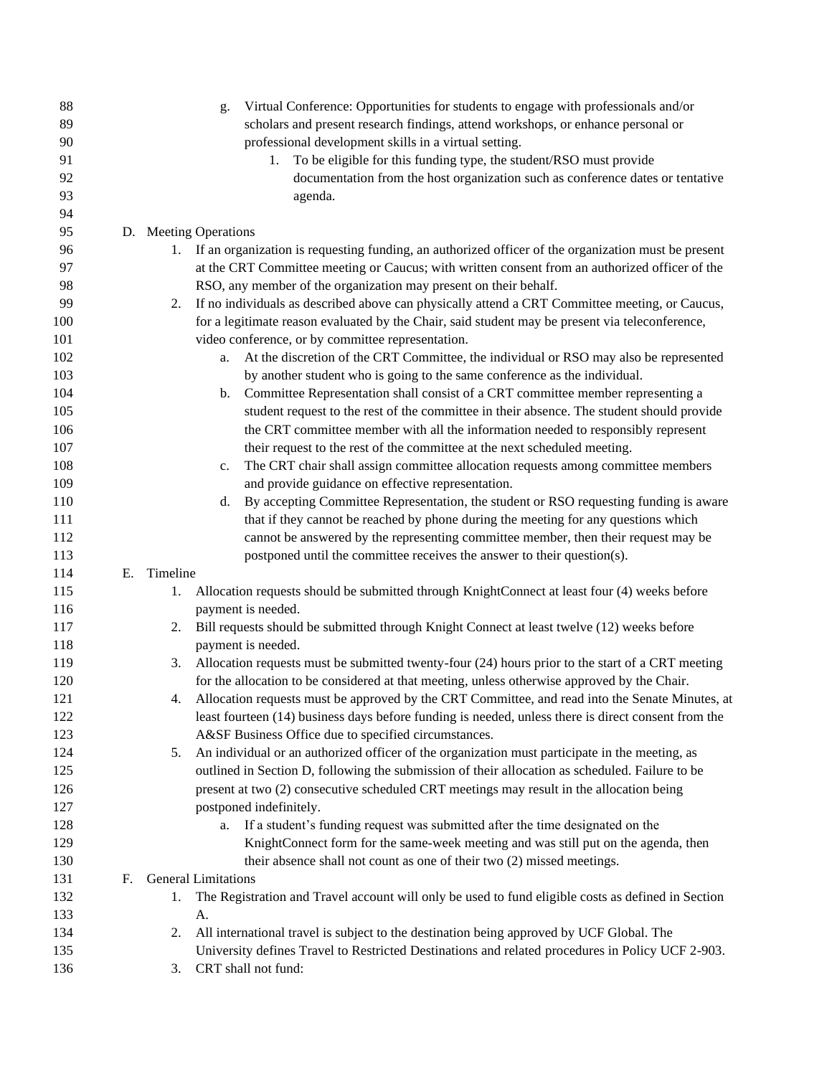| 90<br>professional development skills in a virtual setting.<br>91<br>1. To be eligible for this funding type, the student/RSO must provide<br>92<br>documentation from the host organization such as conference dates or tentative<br>93<br>agenda.<br>94<br>95<br>D. Meeting Operations<br>96<br>If an organization is requesting funding, an authorized officer of the organization must be present<br>97<br>at the CRT Committee meeting or Caucus; with written consent from an authorized officer of the<br>98<br>RSO, any member of the organization may present on their behalf.<br>99<br>If no individuals as described above can physically attend a CRT Committee meeting, or Caucus,<br>2.<br>100<br>for a legitimate reason evaluated by the Chair, said student may be present via teleconference,<br>101<br>video conference, or by committee representation.<br>At the discretion of the CRT Committee, the individual or RSO may also be represented<br>102<br>a.<br>by another student who is going to the same conference as the individual.<br>103<br>104<br>Committee Representation shall consist of a CRT committee member representing a<br>b.<br>105<br>student request to the rest of the committee in their absence. The student should provide<br>the CRT committee member with all the information needed to responsibly represent<br>106<br>107<br>their request to the rest of the committee at the next scheduled meeting.<br>108<br>The CRT chair shall assign committee allocation requests among committee members<br>c.<br>109<br>and provide guidance on effective representation.<br>By accepting Committee Representation, the student or RSO requesting funding is aware<br>110<br>d.<br>111<br>that if they cannot be reached by phone during the meeting for any questions which<br>112<br>cannot be answered by the representing committee member, then their request may be<br>postponed until the committee receives the answer to their question(s).<br>113<br>114<br>Ε.<br>Timeline<br>115<br>Allocation requests should be submitted through KnightConnect at least four (4) weeks before<br>1.<br>payment is needed.<br>116<br>Bill requests should be submitted through Knight Connect at least twelve (12) weeks before<br>117<br>2.<br>118<br>payment is needed.<br>Allocation requests must be submitted twenty-four (24) hours prior to the start of a CRT meeting<br>3.<br>for the allocation to be considered at that meeting, unless otherwise approved by the Chair.<br>120<br>Allocation requests must be approved by the CRT Committee, and read into the Senate Minutes, at<br>121<br>4.<br>least fourteen (14) business days before funding is needed, unless there is direct consent from the<br>122<br>123<br>A&SF Business Office due to specified circumstances.<br>An individual or an authorized officer of the organization must participate in the meeting, as<br>124<br>5.<br>outlined in Section D, following the submission of their allocation as scheduled. Failure to be<br>125<br>present at two (2) consecutive scheduled CRT meetings may result in the allocation being<br>126<br>postponed indefinitely.<br>127<br>If a student's funding request was submitted after the time designated on the<br>128<br>a.<br>129<br>KnightConnect form for the same-week meeting and was still put on the agenda, then<br>130<br>their absence shall not count as one of their two (2) missed meetings.<br>131<br>F.<br><b>General Limitations</b><br>132<br>The Registration and Travel account will only be used to fund eligible costs as defined in Section<br>1.<br>133<br>A.<br>All international travel is subject to the destination being approved by UCF Global. The<br>134<br>2.<br>135<br>University defines Travel to Restricted Destinations and related procedures in Policy UCF 2-903.<br>CRT shall not fund:<br>136<br>3. | 88  | Virtual Conference: Opportunities for students to engage with professionals and/or<br>g. |
|----------------------------------------------------------------------------------------------------------------------------------------------------------------------------------------------------------------------------------------------------------------------------------------------------------------------------------------------------------------------------------------------------------------------------------------------------------------------------------------------------------------------------------------------------------------------------------------------------------------------------------------------------------------------------------------------------------------------------------------------------------------------------------------------------------------------------------------------------------------------------------------------------------------------------------------------------------------------------------------------------------------------------------------------------------------------------------------------------------------------------------------------------------------------------------------------------------------------------------------------------------------------------------------------------------------------------------------------------------------------------------------------------------------------------------------------------------------------------------------------------------------------------------------------------------------------------------------------------------------------------------------------------------------------------------------------------------------------------------------------------------------------------------------------------------------------------------------------------------------------------------------------------------------------------------------------------------------------------------------------------------------------------------------------------------------------------------------------------------------------------------------------------------------------------------------------------------------------------------------------------------------------------------------------------------------------------------------------------------------------------------------------------------------------------------------------------------------------------------------------------------------------------------------------------------------------------------------------------------------------------------------------------------------------------------------------------------------------------------------------------------------------------------------------------------------------------------------------------------------------------------------------------------------------------------------------------------------------------------------------------------------------------------------------------------------------------------------------------------------------------------------------------------------------------------------------------------------------------------------------------------------------------------------------------------------------------------------------------------------------------------------------------------------------------------------------------------------------------------------------------------------------------------------------------------------------------------------------------------------------------------------------------------------------------------------------------------------------------------------------------------------------------------------------------------------------------------------------------------------------------------------------------------------|-----|------------------------------------------------------------------------------------------|
|                                                                                                                                                                                                                                                                                                                                                                                                                                                                                                                                                                                                                                                                                                                                                                                                                                                                                                                                                                                                                                                                                                                                                                                                                                                                                                                                                                                                                                                                                                                                                                                                                                                                                                                                                                                                                                                                                                                                                                                                                                                                                                                                                                                                                                                                                                                                                                                                                                                                                                                                                                                                                                                                                                                                                                                                                                                                                                                                                                                                                                                                                                                                                                                                                                                                                                                                                                                                                                                                                                                                                                                                                                                                                                                                                                                                                                                                                                                | 89  | scholars and present research findings, attend workshops, or enhance personal or         |
|                                                                                                                                                                                                                                                                                                                                                                                                                                                                                                                                                                                                                                                                                                                                                                                                                                                                                                                                                                                                                                                                                                                                                                                                                                                                                                                                                                                                                                                                                                                                                                                                                                                                                                                                                                                                                                                                                                                                                                                                                                                                                                                                                                                                                                                                                                                                                                                                                                                                                                                                                                                                                                                                                                                                                                                                                                                                                                                                                                                                                                                                                                                                                                                                                                                                                                                                                                                                                                                                                                                                                                                                                                                                                                                                                                                                                                                                                                                |     |                                                                                          |
|                                                                                                                                                                                                                                                                                                                                                                                                                                                                                                                                                                                                                                                                                                                                                                                                                                                                                                                                                                                                                                                                                                                                                                                                                                                                                                                                                                                                                                                                                                                                                                                                                                                                                                                                                                                                                                                                                                                                                                                                                                                                                                                                                                                                                                                                                                                                                                                                                                                                                                                                                                                                                                                                                                                                                                                                                                                                                                                                                                                                                                                                                                                                                                                                                                                                                                                                                                                                                                                                                                                                                                                                                                                                                                                                                                                                                                                                                                                |     |                                                                                          |
|                                                                                                                                                                                                                                                                                                                                                                                                                                                                                                                                                                                                                                                                                                                                                                                                                                                                                                                                                                                                                                                                                                                                                                                                                                                                                                                                                                                                                                                                                                                                                                                                                                                                                                                                                                                                                                                                                                                                                                                                                                                                                                                                                                                                                                                                                                                                                                                                                                                                                                                                                                                                                                                                                                                                                                                                                                                                                                                                                                                                                                                                                                                                                                                                                                                                                                                                                                                                                                                                                                                                                                                                                                                                                                                                                                                                                                                                                                                |     |                                                                                          |
|                                                                                                                                                                                                                                                                                                                                                                                                                                                                                                                                                                                                                                                                                                                                                                                                                                                                                                                                                                                                                                                                                                                                                                                                                                                                                                                                                                                                                                                                                                                                                                                                                                                                                                                                                                                                                                                                                                                                                                                                                                                                                                                                                                                                                                                                                                                                                                                                                                                                                                                                                                                                                                                                                                                                                                                                                                                                                                                                                                                                                                                                                                                                                                                                                                                                                                                                                                                                                                                                                                                                                                                                                                                                                                                                                                                                                                                                                                                |     |                                                                                          |
|                                                                                                                                                                                                                                                                                                                                                                                                                                                                                                                                                                                                                                                                                                                                                                                                                                                                                                                                                                                                                                                                                                                                                                                                                                                                                                                                                                                                                                                                                                                                                                                                                                                                                                                                                                                                                                                                                                                                                                                                                                                                                                                                                                                                                                                                                                                                                                                                                                                                                                                                                                                                                                                                                                                                                                                                                                                                                                                                                                                                                                                                                                                                                                                                                                                                                                                                                                                                                                                                                                                                                                                                                                                                                                                                                                                                                                                                                                                |     |                                                                                          |
|                                                                                                                                                                                                                                                                                                                                                                                                                                                                                                                                                                                                                                                                                                                                                                                                                                                                                                                                                                                                                                                                                                                                                                                                                                                                                                                                                                                                                                                                                                                                                                                                                                                                                                                                                                                                                                                                                                                                                                                                                                                                                                                                                                                                                                                                                                                                                                                                                                                                                                                                                                                                                                                                                                                                                                                                                                                                                                                                                                                                                                                                                                                                                                                                                                                                                                                                                                                                                                                                                                                                                                                                                                                                                                                                                                                                                                                                                                                |     |                                                                                          |
|                                                                                                                                                                                                                                                                                                                                                                                                                                                                                                                                                                                                                                                                                                                                                                                                                                                                                                                                                                                                                                                                                                                                                                                                                                                                                                                                                                                                                                                                                                                                                                                                                                                                                                                                                                                                                                                                                                                                                                                                                                                                                                                                                                                                                                                                                                                                                                                                                                                                                                                                                                                                                                                                                                                                                                                                                                                                                                                                                                                                                                                                                                                                                                                                                                                                                                                                                                                                                                                                                                                                                                                                                                                                                                                                                                                                                                                                                                                |     |                                                                                          |
|                                                                                                                                                                                                                                                                                                                                                                                                                                                                                                                                                                                                                                                                                                                                                                                                                                                                                                                                                                                                                                                                                                                                                                                                                                                                                                                                                                                                                                                                                                                                                                                                                                                                                                                                                                                                                                                                                                                                                                                                                                                                                                                                                                                                                                                                                                                                                                                                                                                                                                                                                                                                                                                                                                                                                                                                                                                                                                                                                                                                                                                                                                                                                                                                                                                                                                                                                                                                                                                                                                                                                                                                                                                                                                                                                                                                                                                                                                                |     |                                                                                          |
|                                                                                                                                                                                                                                                                                                                                                                                                                                                                                                                                                                                                                                                                                                                                                                                                                                                                                                                                                                                                                                                                                                                                                                                                                                                                                                                                                                                                                                                                                                                                                                                                                                                                                                                                                                                                                                                                                                                                                                                                                                                                                                                                                                                                                                                                                                                                                                                                                                                                                                                                                                                                                                                                                                                                                                                                                                                                                                                                                                                                                                                                                                                                                                                                                                                                                                                                                                                                                                                                                                                                                                                                                                                                                                                                                                                                                                                                                                                |     |                                                                                          |
|                                                                                                                                                                                                                                                                                                                                                                                                                                                                                                                                                                                                                                                                                                                                                                                                                                                                                                                                                                                                                                                                                                                                                                                                                                                                                                                                                                                                                                                                                                                                                                                                                                                                                                                                                                                                                                                                                                                                                                                                                                                                                                                                                                                                                                                                                                                                                                                                                                                                                                                                                                                                                                                                                                                                                                                                                                                                                                                                                                                                                                                                                                                                                                                                                                                                                                                                                                                                                                                                                                                                                                                                                                                                                                                                                                                                                                                                                                                |     |                                                                                          |
|                                                                                                                                                                                                                                                                                                                                                                                                                                                                                                                                                                                                                                                                                                                                                                                                                                                                                                                                                                                                                                                                                                                                                                                                                                                                                                                                                                                                                                                                                                                                                                                                                                                                                                                                                                                                                                                                                                                                                                                                                                                                                                                                                                                                                                                                                                                                                                                                                                                                                                                                                                                                                                                                                                                                                                                                                                                                                                                                                                                                                                                                                                                                                                                                                                                                                                                                                                                                                                                                                                                                                                                                                                                                                                                                                                                                                                                                                                                |     |                                                                                          |
|                                                                                                                                                                                                                                                                                                                                                                                                                                                                                                                                                                                                                                                                                                                                                                                                                                                                                                                                                                                                                                                                                                                                                                                                                                                                                                                                                                                                                                                                                                                                                                                                                                                                                                                                                                                                                                                                                                                                                                                                                                                                                                                                                                                                                                                                                                                                                                                                                                                                                                                                                                                                                                                                                                                                                                                                                                                                                                                                                                                                                                                                                                                                                                                                                                                                                                                                                                                                                                                                                                                                                                                                                                                                                                                                                                                                                                                                                                                |     |                                                                                          |
|                                                                                                                                                                                                                                                                                                                                                                                                                                                                                                                                                                                                                                                                                                                                                                                                                                                                                                                                                                                                                                                                                                                                                                                                                                                                                                                                                                                                                                                                                                                                                                                                                                                                                                                                                                                                                                                                                                                                                                                                                                                                                                                                                                                                                                                                                                                                                                                                                                                                                                                                                                                                                                                                                                                                                                                                                                                                                                                                                                                                                                                                                                                                                                                                                                                                                                                                                                                                                                                                                                                                                                                                                                                                                                                                                                                                                                                                                                                |     |                                                                                          |
|                                                                                                                                                                                                                                                                                                                                                                                                                                                                                                                                                                                                                                                                                                                                                                                                                                                                                                                                                                                                                                                                                                                                                                                                                                                                                                                                                                                                                                                                                                                                                                                                                                                                                                                                                                                                                                                                                                                                                                                                                                                                                                                                                                                                                                                                                                                                                                                                                                                                                                                                                                                                                                                                                                                                                                                                                                                                                                                                                                                                                                                                                                                                                                                                                                                                                                                                                                                                                                                                                                                                                                                                                                                                                                                                                                                                                                                                                                                |     |                                                                                          |
|                                                                                                                                                                                                                                                                                                                                                                                                                                                                                                                                                                                                                                                                                                                                                                                                                                                                                                                                                                                                                                                                                                                                                                                                                                                                                                                                                                                                                                                                                                                                                                                                                                                                                                                                                                                                                                                                                                                                                                                                                                                                                                                                                                                                                                                                                                                                                                                                                                                                                                                                                                                                                                                                                                                                                                                                                                                                                                                                                                                                                                                                                                                                                                                                                                                                                                                                                                                                                                                                                                                                                                                                                                                                                                                                                                                                                                                                                                                |     |                                                                                          |
|                                                                                                                                                                                                                                                                                                                                                                                                                                                                                                                                                                                                                                                                                                                                                                                                                                                                                                                                                                                                                                                                                                                                                                                                                                                                                                                                                                                                                                                                                                                                                                                                                                                                                                                                                                                                                                                                                                                                                                                                                                                                                                                                                                                                                                                                                                                                                                                                                                                                                                                                                                                                                                                                                                                                                                                                                                                                                                                                                                                                                                                                                                                                                                                                                                                                                                                                                                                                                                                                                                                                                                                                                                                                                                                                                                                                                                                                                                                |     |                                                                                          |
|                                                                                                                                                                                                                                                                                                                                                                                                                                                                                                                                                                                                                                                                                                                                                                                                                                                                                                                                                                                                                                                                                                                                                                                                                                                                                                                                                                                                                                                                                                                                                                                                                                                                                                                                                                                                                                                                                                                                                                                                                                                                                                                                                                                                                                                                                                                                                                                                                                                                                                                                                                                                                                                                                                                                                                                                                                                                                                                                                                                                                                                                                                                                                                                                                                                                                                                                                                                                                                                                                                                                                                                                                                                                                                                                                                                                                                                                                                                |     |                                                                                          |
|                                                                                                                                                                                                                                                                                                                                                                                                                                                                                                                                                                                                                                                                                                                                                                                                                                                                                                                                                                                                                                                                                                                                                                                                                                                                                                                                                                                                                                                                                                                                                                                                                                                                                                                                                                                                                                                                                                                                                                                                                                                                                                                                                                                                                                                                                                                                                                                                                                                                                                                                                                                                                                                                                                                                                                                                                                                                                                                                                                                                                                                                                                                                                                                                                                                                                                                                                                                                                                                                                                                                                                                                                                                                                                                                                                                                                                                                                                                |     |                                                                                          |
|                                                                                                                                                                                                                                                                                                                                                                                                                                                                                                                                                                                                                                                                                                                                                                                                                                                                                                                                                                                                                                                                                                                                                                                                                                                                                                                                                                                                                                                                                                                                                                                                                                                                                                                                                                                                                                                                                                                                                                                                                                                                                                                                                                                                                                                                                                                                                                                                                                                                                                                                                                                                                                                                                                                                                                                                                                                                                                                                                                                                                                                                                                                                                                                                                                                                                                                                                                                                                                                                                                                                                                                                                                                                                                                                                                                                                                                                                                                |     |                                                                                          |
|                                                                                                                                                                                                                                                                                                                                                                                                                                                                                                                                                                                                                                                                                                                                                                                                                                                                                                                                                                                                                                                                                                                                                                                                                                                                                                                                                                                                                                                                                                                                                                                                                                                                                                                                                                                                                                                                                                                                                                                                                                                                                                                                                                                                                                                                                                                                                                                                                                                                                                                                                                                                                                                                                                                                                                                                                                                                                                                                                                                                                                                                                                                                                                                                                                                                                                                                                                                                                                                                                                                                                                                                                                                                                                                                                                                                                                                                                                                |     |                                                                                          |
|                                                                                                                                                                                                                                                                                                                                                                                                                                                                                                                                                                                                                                                                                                                                                                                                                                                                                                                                                                                                                                                                                                                                                                                                                                                                                                                                                                                                                                                                                                                                                                                                                                                                                                                                                                                                                                                                                                                                                                                                                                                                                                                                                                                                                                                                                                                                                                                                                                                                                                                                                                                                                                                                                                                                                                                                                                                                                                                                                                                                                                                                                                                                                                                                                                                                                                                                                                                                                                                                                                                                                                                                                                                                                                                                                                                                                                                                                                                |     |                                                                                          |
|                                                                                                                                                                                                                                                                                                                                                                                                                                                                                                                                                                                                                                                                                                                                                                                                                                                                                                                                                                                                                                                                                                                                                                                                                                                                                                                                                                                                                                                                                                                                                                                                                                                                                                                                                                                                                                                                                                                                                                                                                                                                                                                                                                                                                                                                                                                                                                                                                                                                                                                                                                                                                                                                                                                                                                                                                                                                                                                                                                                                                                                                                                                                                                                                                                                                                                                                                                                                                                                                                                                                                                                                                                                                                                                                                                                                                                                                                                                |     |                                                                                          |
|                                                                                                                                                                                                                                                                                                                                                                                                                                                                                                                                                                                                                                                                                                                                                                                                                                                                                                                                                                                                                                                                                                                                                                                                                                                                                                                                                                                                                                                                                                                                                                                                                                                                                                                                                                                                                                                                                                                                                                                                                                                                                                                                                                                                                                                                                                                                                                                                                                                                                                                                                                                                                                                                                                                                                                                                                                                                                                                                                                                                                                                                                                                                                                                                                                                                                                                                                                                                                                                                                                                                                                                                                                                                                                                                                                                                                                                                                                                |     |                                                                                          |
|                                                                                                                                                                                                                                                                                                                                                                                                                                                                                                                                                                                                                                                                                                                                                                                                                                                                                                                                                                                                                                                                                                                                                                                                                                                                                                                                                                                                                                                                                                                                                                                                                                                                                                                                                                                                                                                                                                                                                                                                                                                                                                                                                                                                                                                                                                                                                                                                                                                                                                                                                                                                                                                                                                                                                                                                                                                                                                                                                                                                                                                                                                                                                                                                                                                                                                                                                                                                                                                                                                                                                                                                                                                                                                                                                                                                                                                                                                                |     |                                                                                          |
|                                                                                                                                                                                                                                                                                                                                                                                                                                                                                                                                                                                                                                                                                                                                                                                                                                                                                                                                                                                                                                                                                                                                                                                                                                                                                                                                                                                                                                                                                                                                                                                                                                                                                                                                                                                                                                                                                                                                                                                                                                                                                                                                                                                                                                                                                                                                                                                                                                                                                                                                                                                                                                                                                                                                                                                                                                                                                                                                                                                                                                                                                                                                                                                                                                                                                                                                                                                                                                                                                                                                                                                                                                                                                                                                                                                                                                                                                                                |     |                                                                                          |
|                                                                                                                                                                                                                                                                                                                                                                                                                                                                                                                                                                                                                                                                                                                                                                                                                                                                                                                                                                                                                                                                                                                                                                                                                                                                                                                                                                                                                                                                                                                                                                                                                                                                                                                                                                                                                                                                                                                                                                                                                                                                                                                                                                                                                                                                                                                                                                                                                                                                                                                                                                                                                                                                                                                                                                                                                                                                                                                                                                                                                                                                                                                                                                                                                                                                                                                                                                                                                                                                                                                                                                                                                                                                                                                                                                                                                                                                                                                |     |                                                                                          |
|                                                                                                                                                                                                                                                                                                                                                                                                                                                                                                                                                                                                                                                                                                                                                                                                                                                                                                                                                                                                                                                                                                                                                                                                                                                                                                                                                                                                                                                                                                                                                                                                                                                                                                                                                                                                                                                                                                                                                                                                                                                                                                                                                                                                                                                                                                                                                                                                                                                                                                                                                                                                                                                                                                                                                                                                                                                                                                                                                                                                                                                                                                                                                                                                                                                                                                                                                                                                                                                                                                                                                                                                                                                                                                                                                                                                                                                                                                                |     |                                                                                          |
|                                                                                                                                                                                                                                                                                                                                                                                                                                                                                                                                                                                                                                                                                                                                                                                                                                                                                                                                                                                                                                                                                                                                                                                                                                                                                                                                                                                                                                                                                                                                                                                                                                                                                                                                                                                                                                                                                                                                                                                                                                                                                                                                                                                                                                                                                                                                                                                                                                                                                                                                                                                                                                                                                                                                                                                                                                                                                                                                                                                                                                                                                                                                                                                                                                                                                                                                                                                                                                                                                                                                                                                                                                                                                                                                                                                                                                                                                                                |     |                                                                                          |
|                                                                                                                                                                                                                                                                                                                                                                                                                                                                                                                                                                                                                                                                                                                                                                                                                                                                                                                                                                                                                                                                                                                                                                                                                                                                                                                                                                                                                                                                                                                                                                                                                                                                                                                                                                                                                                                                                                                                                                                                                                                                                                                                                                                                                                                                                                                                                                                                                                                                                                                                                                                                                                                                                                                                                                                                                                                                                                                                                                                                                                                                                                                                                                                                                                                                                                                                                                                                                                                                                                                                                                                                                                                                                                                                                                                                                                                                                                                | 119 |                                                                                          |
|                                                                                                                                                                                                                                                                                                                                                                                                                                                                                                                                                                                                                                                                                                                                                                                                                                                                                                                                                                                                                                                                                                                                                                                                                                                                                                                                                                                                                                                                                                                                                                                                                                                                                                                                                                                                                                                                                                                                                                                                                                                                                                                                                                                                                                                                                                                                                                                                                                                                                                                                                                                                                                                                                                                                                                                                                                                                                                                                                                                                                                                                                                                                                                                                                                                                                                                                                                                                                                                                                                                                                                                                                                                                                                                                                                                                                                                                                                                |     |                                                                                          |
|                                                                                                                                                                                                                                                                                                                                                                                                                                                                                                                                                                                                                                                                                                                                                                                                                                                                                                                                                                                                                                                                                                                                                                                                                                                                                                                                                                                                                                                                                                                                                                                                                                                                                                                                                                                                                                                                                                                                                                                                                                                                                                                                                                                                                                                                                                                                                                                                                                                                                                                                                                                                                                                                                                                                                                                                                                                                                                                                                                                                                                                                                                                                                                                                                                                                                                                                                                                                                                                                                                                                                                                                                                                                                                                                                                                                                                                                                                                |     |                                                                                          |
|                                                                                                                                                                                                                                                                                                                                                                                                                                                                                                                                                                                                                                                                                                                                                                                                                                                                                                                                                                                                                                                                                                                                                                                                                                                                                                                                                                                                                                                                                                                                                                                                                                                                                                                                                                                                                                                                                                                                                                                                                                                                                                                                                                                                                                                                                                                                                                                                                                                                                                                                                                                                                                                                                                                                                                                                                                                                                                                                                                                                                                                                                                                                                                                                                                                                                                                                                                                                                                                                                                                                                                                                                                                                                                                                                                                                                                                                                                                |     |                                                                                          |
|                                                                                                                                                                                                                                                                                                                                                                                                                                                                                                                                                                                                                                                                                                                                                                                                                                                                                                                                                                                                                                                                                                                                                                                                                                                                                                                                                                                                                                                                                                                                                                                                                                                                                                                                                                                                                                                                                                                                                                                                                                                                                                                                                                                                                                                                                                                                                                                                                                                                                                                                                                                                                                                                                                                                                                                                                                                                                                                                                                                                                                                                                                                                                                                                                                                                                                                                                                                                                                                                                                                                                                                                                                                                                                                                                                                                                                                                                                                |     |                                                                                          |
|                                                                                                                                                                                                                                                                                                                                                                                                                                                                                                                                                                                                                                                                                                                                                                                                                                                                                                                                                                                                                                                                                                                                                                                                                                                                                                                                                                                                                                                                                                                                                                                                                                                                                                                                                                                                                                                                                                                                                                                                                                                                                                                                                                                                                                                                                                                                                                                                                                                                                                                                                                                                                                                                                                                                                                                                                                                                                                                                                                                                                                                                                                                                                                                                                                                                                                                                                                                                                                                                                                                                                                                                                                                                                                                                                                                                                                                                                                                |     |                                                                                          |
|                                                                                                                                                                                                                                                                                                                                                                                                                                                                                                                                                                                                                                                                                                                                                                                                                                                                                                                                                                                                                                                                                                                                                                                                                                                                                                                                                                                                                                                                                                                                                                                                                                                                                                                                                                                                                                                                                                                                                                                                                                                                                                                                                                                                                                                                                                                                                                                                                                                                                                                                                                                                                                                                                                                                                                                                                                                                                                                                                                                                                                                                                                                                                                                                                                                                                                                                                                                                                                                                                                                                                                                                                                                                                                                                                                                                                                                                                                                |     |                                                                                          |
|                                                                                                                                                                                                                                                                                                                                                                                                                                                                                                                                                                                                                                                                                                                                                                                                                                                                                                                                                                                                                                                                                                                                                                                                                                                                                                                                                                                                                                                                                                                                                                                                                                                                                                                                                                                                                                                                                                                                                                                                                                                                                                                                                                                                                                                                                                                                                                                                                                                                                                                                                                                                                                                                                                                                                                                                                                                                                                                                                                                                                                                                                                                                                                                                                                                                                                                                                                                                                                                                                                                                                                                                                                                                                                                                                                                                                                                                                                                |     |                                                                                          |
|                                                                                                                                                                                                                                                                                                                                                                                                                                                                                                                                                                                                                                                                                                                                                                                                                                                                                                                                                                                                                                                                                                                                                                                                                                                                                                                                                                                                                                                                                                                                                                                                                                                                                                                                                                                                                                                                                                                                                                                                                                                                                                                                                                                                                                                                                                                                                                                                                                                                                                                                                                                                                                                                                                                                                                                                                                                                                                                                                                                                                                                                                                                                                                                                                                                                                                                                                                                                                                                                                                                                                                                                                                                                                                                                                                                                                                                                                                                |     |                                                                                          |
|                                                                                                                                                                                                                                                                                                                                                                                                                                                                                                                                                                                                                                                                                                                                                                                                                                                                                                                                                                                                                                                                                                                                                                                                                                                                                                                                                                                                                                                                                                                                                                                                                                                                                                                                                                                                                                                                                                                                                                                                                                                                                                                                                                                                                                                                                                                                                                                                                                                                                                                                                                                                                                                                                                                                                                                                                                                                                                                                                                                                                                                                                                                                                                                                                                                                                                                                                                                                                                                                                                                                                                                                                                                                                                                                                                                                                                                                                                                |     |                                                                                          |
|                                                                                                                                                                                                                                                                                                                                                                                                                                                                                                                                                                                                                                                                                                                                                                                                                                                                                                                                                                                                                                                                                                                                                                                                                                                                                                                                                                                                                                                                                                                                                                                                                                                                                                                                                                                                                                                                                                                                                                                                                                                                                                                                                                                                                                                                                                                                                                                                                                                                                                                                                                                                                                                                                                                                                                                                                                                                                                                                                                                                                                                                                                                                                                                                                                                                                                                                                                                                                                                                                                                                                                                                                                                                                                                                                                                                                                                                                                                |     |                                                                                          |
|                                                                                                                                                                                                                                                                                                                                                                                                                                                                                                                                                                                                                                                                                                                                                                                                                                                                                                                                                                                                                                                                                                                                                                                                                                                                                                                                                                                                                                                                                                                                                                                                                                                                                                                                                                                                                                                                                                                                                                                                                                                                                                                                                                                                                                                                                                                                                                                                                                                                                                                                                                                                                                                                                                                                                                                                                                                                                                                                                                                                                                                                                                                                                                                                                                                                                                                                                                                                                                                                                                                                                                                                                                                                                                                                                                                                                                                                                                                |     |                                                                                          |
|                                                                                                                                                                                                                                                                                                                                                                                                                                                                                                                                                                                                                                                                                                                                                                                                                                                                                                                                                                                                                                                                                                                                                                                                                                                                                                                                                                                                                                                                                                                                                                                                                                                                                                                                                                                                                                                                                                                                                                                                                                                                                                                                                                                                                                                                                                                                                                                                                                                                                                                                                                                                                                                                                                                                                                                                                                                                                                                                                                                                                                                                                                                                                                                                                                                                                                                                                                                                                                                                                                                                                                                                                                                                                                                                                                                                                                                                                                                |     |                                                                                          |
|                                                                                                                                                                                                                                                                                                                                                                                                                                                                                                                                                                                                                                                                                                                                                                                                                                                                                                                                                                                                                                                                                                                                                                                                                                                                                                                                                                                                                                                                                                                                                                                                                                                                                                                                                                                                                                                                                                                                                                                                                                                                                                                                                                                                                                                                                                                                                                                                                                                                                                                                                                                                                                                                                                                                                                                                                                                                                                                                                                                                                                                                                                                                                                                                                                                                                                                                                                                                                                                                                                                                                                                                                                                                                                                                                                                                                                                                                                                |     |                                                                                          |
|                                                                                                                                                                                                                                                                                                                                                                                                                                                                                                                                                                                                                                                                                                                                                                                                                                                                                                                                                                                                                                                                                                                                                                                                                                                                                                                                                                                                                                                                                                                                                                                                                                                                                                                                                                                                                                                                                                                                                                                                                                                                                                                                                                                                                                                                                                                                                                                                                                                                                                                                                                                                                                                                                                                                                                                                                                                                                                                                                                                                                                                                                                                                                                                                                                                                                                                                                                                                                                                                                                                                                                                                                                                                                                                                                                                                                                                                                                                |     |                                                                                          |
|                                                                                                                                                                                                                                                                                                                                                                                                                                                                                                                                                                                                                                                                                                                                                                                                                                                                                                                                                                                                                                                                                                                                                                                                                                                                                                                                                                                                                                                                                                                                                                                                                                                                                                                                                                                                                                                                                                                                                                                                                                                                                                                                                                                                                                                                                                                                                                                                                                                                                                                                                                                                                                                                                                                                                                                                                                                                                                                                                                                                                                                                                                                                                                                                                                                                                                                                                                                                                                                                                                                                                                                                                                                                                                                                                                                                                                                                                                                |     |                                                                                          |
|                                                                                                                                                                                                                                                                                                                                                                                                                                                                                                                                                                                                                                                                                                                                                                                                                                                                                                                                                                                                                                                                                                                                                                                                                                                                                                                                                                                                                                                                                                                                                                                                                                                                                                                                                                                                                                                                                                                                                                                                                                                                                                                                                                                                                                                                                                                                                                                                                                                                                                                                                                                                                                                                                                                                                                                                                                                                                                                                                                                                                                                                                                                                                                                                                                                                                                                                                                                                                                                                                                                                                                                                                                                                                                                                                                                                                                                                                                                |     |                                                                                          |
|                                                                                                                                                                                                                                                                                                                                                                                                                                                                                                                                                                                                                                                                                                                                                                                                                                                                                                                                                                                                                                                                                                                                                                                                                                                                                                                                                                                                                                                                                                                                                                                                                                                                                                                                                                                                                                                                                                                                                                                                                                                                                                                                                                                                                                                                                                                                                                                                                                                                                                                                                                                                                                                                                                                                                                                                                                                                                                                                                                                                                                                                                                                                                                                                                                                                                                                                                                                                                                                                                                                                                                                                                                                                                                                                                                                                                                                                                                                |     |                                                                                          |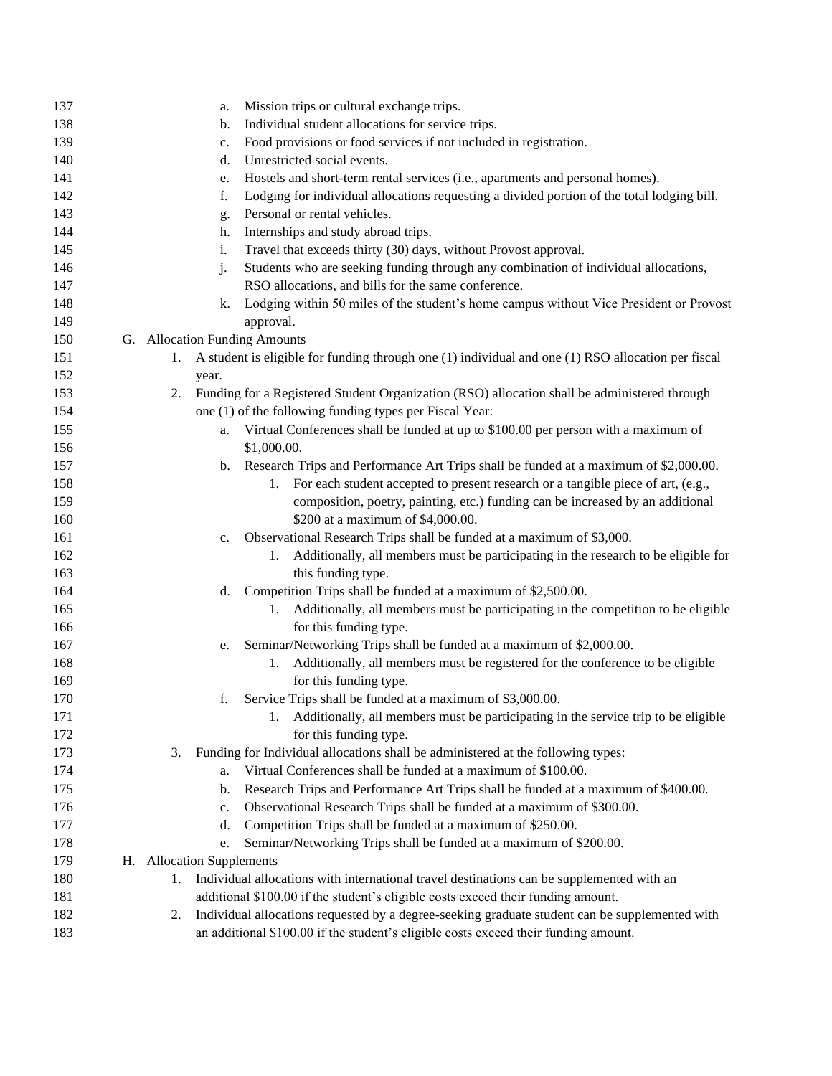| 137 | Mission trips or cultural exchange trips.<br>a.                                                          |
|-----|----------------------------------------------------------------------------------------------------------|
| 138 | Individual student allocations for service trips.<br>b.                                                  |
| 139 | Food provisions or food services if not included in registration.<br>c.                                  |
| 140 | Unrestricted social events.<br>d.                                                                        |
| 141 | Hostels and short-term rental services (i.e., apartments and personal homes).<br>e.                      |
| 142 | Lodging for individual allocations requesting a divided portion of the total lodging bill.<br>f.         |
| 143 | Personal or rental vehicles.<br>g.                                                                       |
| 144 | Internships and study abroad trips.<br>h.                                                                |
| 145 | Travel that exceeds thirty (30) days, without Provost approval.<br>i.                                    |
| 146 | Students who are seeking funding through any combination of individual allocations,<br>j.                |
| 147 | RSO allocations, and bills for the same conference.                                                      |
| 148 | Lodging within 50 miles of the student's home campus without Vice President or Provost<br>k.             |
| 149 | approval.                                                                                                |
| 150 | G. Allocation Funding Amounts                                                                            |
| 151 | A student is eligible for funding through one (1) individual and one (1) RSO allocation per fiscal<br>1. |
| 152 | year.                                                                                                    |
| 153 | Funding for a Registered Student Organization (RSO) allocation shall be administered through<br>2.       |
| 154 | one (1) of the following funding types per Fiscal Year:                                                  |
| 155 | Virtual Conferences shall be funded at up to \$100.00 per person with a maximum of<br>a.                 |
| 156 | \$1,000.00.                                                                                              |
| 157 | b. Research Trips and Performance Art Trips shall be funded at a maximum of \$2,000.00.                  |
| 158 | 1. For each student accepted to present research or a tangible piece of art, (e.g.,                      |
| 159 | composition, poetry, painting, etc.) funding can be increased by an additional                           |
| 160 | \$200 at a maximum of \$4,000.00.                                                                        |
| 161 | Observational Research Trips shall be funded at a maximum of \$3,000.<br>c.                              |
| 162 | Additionally, all members must be participating in the research to be eligible for<br>1.                 |
| 163 | this funding type.                                                                                       |
| 164 | Competition Trips shall be funded at a maximum of \$2,500.00.<br>d.                                      |
| 165 | Additionally, all members must be participating in the competition to be eligible<br>1.                  |
| 166 | for this funding type.                                                                                   |
| 167 | Seminar/Networking Trips shall be funded at a maximum of \$2,000.00.<br>e.                               |
| 168 | 1. Additionally, all members must be registered for the conference to be eligible                        |
| 169 | for this funding type.                                                                                   |
| 170 | Service Trips shall be funded at a maximum of \$3,000.00.<br>f.                                          |
| 171 | Additionally, all members must be participating in the service trip to be eligible                       |
| 172 | for this funding type.                                                                                   |
| 173 | Funding for Individual allocations shall be administered at the following types:<br>3.                   |
| 174 | Virtual Conferences shall be funded at a maximum of \$100.00.<br>a.                                      |
| 175 | Research Trips and Performance Art Trips shall be funded at a maximum of \$400.00.<br>b.                 |
| 176 | Observational Research Trips shall be funded at a maximum of \$300.00.<br>c.                             |
| 177 | Competition Trips shall be funded at a maximum of \$250.00.<br>d.                                        |
| 178 | Seminar/Networking Trips shall be funded at a maximum of \$200.00.<br>e.                                 |
| 179 | H. Allocation Supplements                                                                                |
| 180 | Individual allocations with international travel destinations can be supplemented with an<br>1.          |
| 181 | additional \$100.00 if the student's eligible costs exceed their funding amount.                         |
| 182 | Individual allocations requested by a degree-seeking graduate student can be supplemented with<br>2.     |
| 183 | an additional \$100.00 if the student's eligible costs exceed their funding amount.                      |